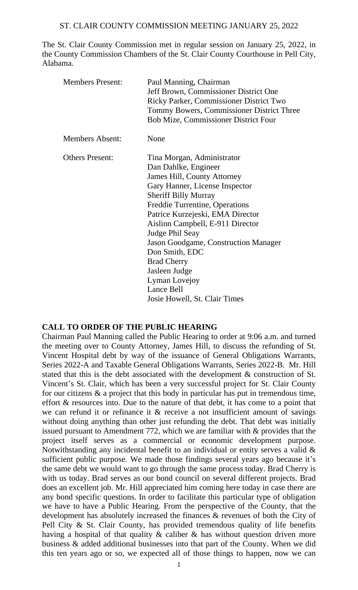The St. Clair County Commission met in regular session on January 25, 2022, in the County Commission Chambers of the St. Clair County Courthouse in Pell City, Alabama.

| <b>Members Present:</b> | Paul Manning, Chairman<br>Jeff Brown, Commissioner District One<br>Ricky Parker, Commissioner District Two<br>Tommy Bowers, Commissioner District Three<br><b>Bob Mize, Commissioner District Four</b>                                                                                                                                                                                                                                                         |
|-------------------------|----------------------------------------------------------------------------------------------------------------------------------------------------------------------------------------------------------------------------------------------------------------------------------------------------------------------------------------------------------------------------------------------------------------------------------------------------------------|
| <b>Members Absent:</b>  | None                                                                                                                                                                                                                                                                                                                                                                                                                                                           |
| <b>Others Present:</b>  | Tina Morgan, Administrator<br>Dan Dahlke, Engineer<br><b>James Hill, County Attorney</b><br>Gary Hanner, License Inspector<br><b>Sheriff Billy Murray</b><br>Freddie Turrentine, Operations<br>Patrice Kurzejeski, EMA Director<br>Aislinn Campbell, E-911 Director<br>Judge Phil Seay<br><b>Jason Goodgame, Construction Manager</b><br>Don Smith, EDC<br><b>Brad Cherry</b><br>Jasleen Judge<br>Lyman Lovejoy<br>Lance Bell<br>Josie Howell, St. Clair Times |

## **CALL TO ORDER OF THE PUBLIC HEARING**

Chairman Paul Manning called the Public Hearing to order at 9:06 a.m. and turned the meeting over to County Attorney, James Hill, to discuss the refunding of St. Vincent Hospital debt by way of the issuance of General Obligations Warrants, Series 2022-A and Taxable General Obligations Warrants, Series 2022-B. Mr. Hill stated that this is the debt associated with the development & construction of St. Vincent's St. Clair, which has been a very successful project for St. Clair County for our citizens & a project that this body in particular has put in tremendous time, effort & resources into. Due to the nature of that debt, it has come to a point that we can refund it or refinance it & receive a not insufficient amount of savings without doing anything than other just refunding the debt. That debt was initially issued pursuant to Amendment 772, which we are familiar with & provides that the project itself serves as a commercial or economic development purpose. Notwithstanding any incidental benefit to an individual or entity serves a valid & sufficient public purpose. We made those findings several years ago because it's the same debt we would want to go through the same process today. Brad Cherry is with us today. Brad serves as our bond council on several different projects. Brad does an excellent job. Mr. Hill appreciated him coming here today in case there are any bond specific questions. In order to facilitate this particular type of obligation we have to have a Public Hearing. From the perspective of the County, that the development has absolutely increased the finances & revenues of both the City of Pell City & St. Clair County, has provided tremendous quality of life benefits having a hospital of that quality  $\&$  caliber  $\&$  has without question driven more business & added additional businesses into that part of the County. When we did this ten years ago or so, we expected all of those things to happen, now we can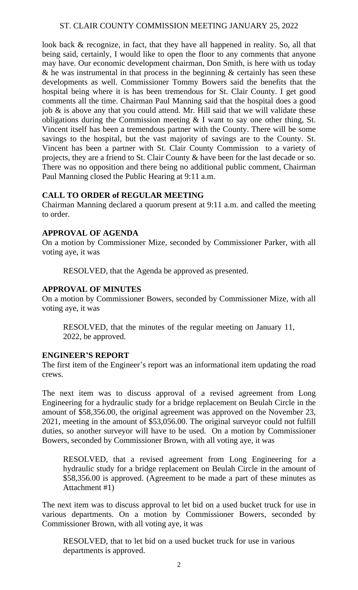look back & recognize, in fact, that they have all happened in reality. So, all that being said, certainly, I would like to open the floor to any comments that anyone may have. Our economic development chairman, Don Smith, is here with us today  $\&$  he was instrumental in that process in the beginning  $\&$  certainly has seen these developments as well. Commissioner Tommy Bowers said the benefits that the hospital being where it is has been tremendous for St. Clair County. I get good comments all the time. Chairman Paul Manning said that the hospital does a good job  $\&$  is above any that you could attend. Mr. Hill said that we will validate these obligations during the Commission meeting & I want to say one other thing, St. Vincent itself has been a tremendous partner with the County. There will be some savings to the hospital, but the vast majority of savings are to the County. St. Vincent has been a partner with St. Clair County Commission to a variety of projects, they are a friend to St. Clair County & have been for the last decade or so. There was no opposition and there being no additional public comment, Chairman Paul Manning closed the Public Hearing at 9:11 a.m.

## **CALL TO ORDER of REGULAR MEETING**

Chairman Manning declared a quorum present at 9:11 a.m. and called the meeting to order.

## **APPROVAL OF AGENDA**

On a motion by Commissioner Mize, seconded by Commissioner Parker, with all voting aye, it was

RESOLVED, that the Agenda be approved as presented.

## **APPROVAL OF MINUTES**

On a motion by Commissioner Bowers, seconded by Commissioner Mize, with all voting aye, it was

RESOLVED, that the minutes of the regular meeting on January 11, 2022, be approved.

#### **ENGINEER'S REPORT**

The first item of the Engineer's report was an informational item updating the road crews.

The next item was to discuss approval of a revised agreement from Long Engineering for a hydraulic study for a bridge replacement on Beulah Circle in the amount of \$58,356.00, the original agreement was approved on the November 23, 2021, meeting in the amount of \$53,056.00. The original surveyor could not fulfill duties, so another surveyor will have to be used. On a motion by Commissioner Bowers, seconded by Commissioner Brown, with all voting aye, it was

RESOLVED, that a revised agreement from Long Engineering for a hydraulic study for a bridge replacement on Beulah Circle in the amount of \$58,356.00 is approved. (Agreement to be made a part of these minutes as Attachment #1)

The next item was to discuss approval to let bid on a used bucket truck for use in various departments. On a motion by Commissioner Bowers, seconded by Commissioner Brown, with all voting aye, it was

RESOLVED, that to let bid on a used bucket truck for use in various departments is approved.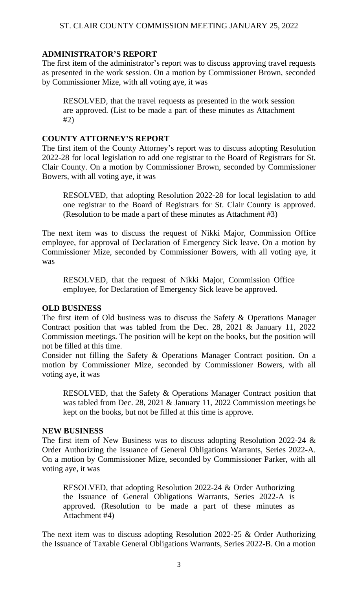## **ADMINISTRATOR'S REPORT**

The first item of the administrator's report was to discuss approving travel requests as presented in the work session. On a motion by Commissioner Brown, seconded by Commissioner Mize, with all voting aye, it was

RESOLVED, that the travel requests as presented in the work session are approved. (List to be made a part of these minutes as Attachment #2)

## **COUNTY ATTORNEY'S REPORT**

The first item of the County Attorney's report was to discuss adopting Resolution 2022-28 for local legislation to add one registrar to the Board of Registrars for St. Clair County. On a motion by Commissioner Brown, seconded by Commissioner Bowers, with all voting aye, it was

RESOLVED, that adopting Resolution 2022-28 for local legislation to add one registrar to the Board of Registrars for St. Clair County is approved. (Resolution to be made a part of these minutes as Attachment #3)

The next item was to discuss the request of Nikki Major, Commission Office employee, for approval of Declaration of Emergency Sick leave. On a motion by Commissioner Mize, seconded by Commissioner Bowers, with all voting aye, it was

RESOLVED, that the request of Nikki Major, Commission Office employee, for Declaration of Emergency Sick leave be approved.

#### **OLD BUSINESS**

The first item of Old business was to discuss the Safety & Operations Manager Contract position that was tabled from the Dec. 28, 2021 & January 11, 2022 Commission meetings. The position will be kept on the books, but the position will not be filled at this time.

Consider not filling the Safety & Operations Manager Contract position. On a motion by Commissioner Mize, seconded by Commissioner Bowers, with all voting aye, it was

RESOLVED, that the Safety & Operations Manager Contract position that was tabled from Dec. 28, 2021 & January 11, 2022 Commission meetings be kept on the books, but not be filled at this time is approve.

#### **NEW BUSINESS**

The first item of New Business was to discuss adopting Resolution 2022-24 & Order Authorizing the Issuance of General Obligations Warrants, Series 2022-A. On a motion by Commissioner Mize, seconded by Commissioner Parker, with all voting aye, it was

RESOLVED, that adopting Resolution 2022-24 & Order Authorizing the Issuance of General Obligations Warrants, Series 2022-A is approved. (Resolution to be made a part of these minutes as Attachment #4)

The next item was to discuss adopting Resolution 2022-25 & Order Authorizing the Issuance of Taxable General Obligations Warrants, Series 2022-B. On a motion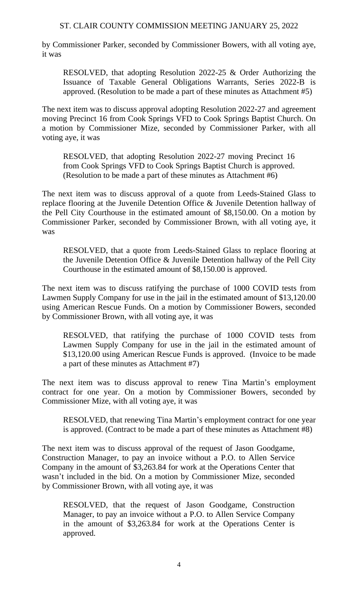by Commissioner Parker, seconded by Commissioner Bowers, with all voting aye, it was

RESOLVED, that adopting Resolution 2022-25 & Order Authorizing the Issuance of Taxable General Obligations Warrants, Series 2022-B is approved. (Resolution to be made a part of these minutes as Attachment #5)

The next item was to discuss approval adopting Resolution 2022-27 and agreement moving Precinct 16 from Cook Springs VFD to Cook Springs Baptist Church. On a motion by Commissioner Mize, seconded by Commissioner Parker, with all voting aye, it was

RESOLVED, that adopting Resolution 2022-27 moving Precinct 16 from Cook Springs VFD to Cook Springs Baptist Church is approved. (Resolution to be made a part of these minutes as Attachment #6)

The next item was to discuss approval of a quote from Leeds-Stained Glass to replace flooring at the Juvenile Detention Office & Juvenile Detention hallway of the Pell City Courthouse in the estimated amount of \$8,150.00. On a motion by Commissioner Parker, seconded by Commissioner Brown, with all voting aye, it was

RESOLVED, that a quote from Leeds-Stained Glass to replace flooring at the Juvenile Detention Office & Juvenile Detention hallway of the Pell City Courthouse in the estimated amount of \$8,150.00 is approved.

The next item was to discuss ratifying the purchase of 1000 COVID tests from Lawmen Supply Company for use in the jail in the estimated amount of \$13,120.00 using American Rescue Funds. On a motion by Commissioner Bowers, seconded by Commissioner Brown, with all voting aye, it was

RESOLVED, that ratifying the purchase of 1000 COVID tests from Lawmen Supply Company for use in the jail in the estimated amount of \$13,120.00 using American Rescue Funds is approved. (Invoice to be made a part of these minutes as Attachment #7)

The next item was to discuss approval to renew Tina Martin's employment contract for one year. On a motion by Commissioner Bowers, seconded by Commissioner Mize, with all voting aye, it was

RESOLVED, that renewing Tina Martin's employment contract for one year is approved. (Contract to be made a part of these minutes as Attachment #8)

The next item was to discuss approval of the request of Jason Goodgame, Construction Manager, to pay an invoice without a P.O. to Allen Service Company in the amount of \$3,263.84 for work at the Operations Center that wasn't included in the bid. On a motion by Commissioner Mize, seconded by Commissioner Brown, with all voting aye, it was

RESOLVED, that the request of Jason Goodgame, Construction Manager, to pay an invoice without a P.O. to Allen Service Company in the amount of \$3,263.84 for work at the Operations Center is approved.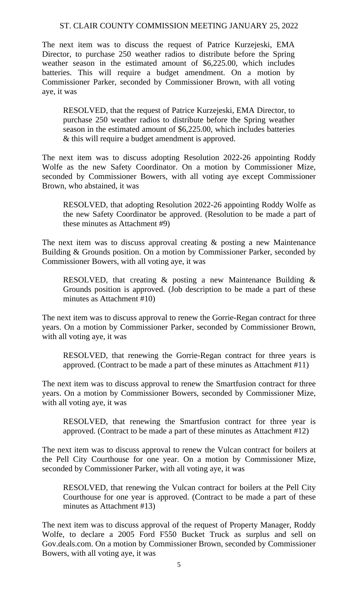The next item was to discuss the request of Patrice Kurzejeski, EMA Director, to purchase 250 weather radios to distribute before the Spring weather season in the estimated amount of \$6,225.00, which includes batteries. This will require a budget amendment. On a motion by Commissioner Parker, seconded by Commissioner Brown, with all voting aye, it was

RESOLVED, that the request of Patrice Kurzejeski, EMA Director, to purchase 250 weather radios to distribute before the Spring weather season in the estimated amount of \$6,225.00, which includes batteries & this will require a budget amendment is approved.

The next item was to discuss adopting Resolution 2022-26 appointing Roddy Wolfe as the new Safety Coordinator. On a motion by Commissioner Mize, seconded by Commissioner Bowers, with all voting aye except Commissioner Brown, who abstained, it was

RESOLVED, that adopting Resolution 2022-26 appointing Roddy Wolfe as the new Safety Coordinator be approved. (Resolution to be made a part of these minutes as Attachment #9)

The next item was to discuss approval creating  $\&$  posting a new Maintenance Building & Grounds position. On a motion by Commissioner Parker, seconded by Commissioner Bowers, with all voting aye, it was

RESOLVED, that creating & posting a new Maintenance Building & Grounds position is approved. (Job description to be made a part of these minutes as Attachment #10)

The next item was to discuss approval to renew the Gorrie-Regan contract for three years. On a motion by Commissioner Parker, seconded by Commissioner Brown, with all voting aye, it was

RESOLVED, that renewing the Gorrie-Regan contract for three years is approved. (Contract to be made a part of these minutes as Attachment #11)

The next item was to discuss approval to renew the Smartfusion contract for three years. On a motion by Commissioner Bowers, seconded by Commissioner Mize, with all voting aye, it was

RESOLVED, that renewing the Smartfusion contract for three year is approved. (Contract to be made a part of these minutes as Attachment #12)

The next item was to discuss approval to renew the Vulcan contract for boilers at the Pell City Courthouse for one year. On a motion by Commissioner Mize, seconded by Commissioner Parker, with all voting aye, it was

RESOLVED, that renewing the Vulcan contract for boilers at the Pell City Courthouse for one year is approved. (Contract to be made a part of these minutes as Attachment #13)

The next item was to discuss approval of the request of Property Manager, Roddy Wolfe, to declare a 2005 Ford F550 Bucket Truck as surplus and sell on Gov.deals.com. On a motion by Commissioner Brown, seconded by Commissioner Bowers, with all voting aye, it was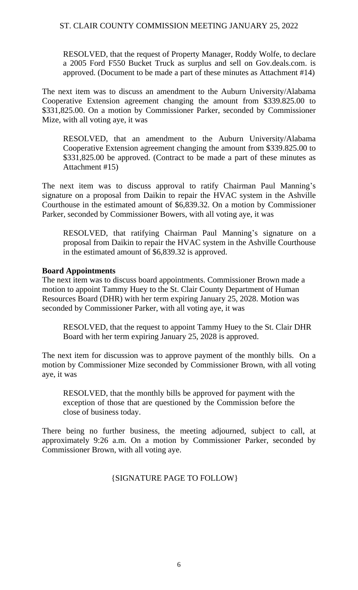RESOLVED, that the request of Property Manager, Roddy Wolfe, to declare a 2005 Ford F550 Bucket Truck as surplus and sell on Gov.deals.com. is approved. (Document to be made a part of these minutes as Attachment #14)

The next item was to discuss an amendment to the Auburn University/Alabama Cooperative Extension agreement changing the amount from \$339.825.00 to \$331,825.00. On a motion by Commissioner Parker, seconded by Commissioner Mize, with all voting aye, it was

RESOLVED, that an amendment to the Auburn University/Alabama Cooperative Extension agreement changing the amount from \$339.825.00 to \$331,825.00 be approved. (Contract to be made a part of these minutes as Attachment #15)

The next item was to discuss approval to ratify Chairman Paul Manning's signature on a proposal from Daikin to repair the HVAC system in the Ashville Courthouse in the estimated amount of \$6,839.32. On a motion by Commissioner Parker, seconded by Commissioner Bowers, with all voting aye, it was

RESOLVED, that ratifying Chairman Paul Manning's signature on a proposal from Daikin to repair the HVAC system in the Ashville Courthouse in the estimated amount of \$6,839.32 is approved.

## **Board Appointments**

The next item was to discuss board appointments. Commissioner Brown made a motion to appoint Tammy Huey to the St. Clair County Department of Human Resources Board (DHR) with her term expiring January 25, 2028. Motion was seconded by Commissioner Parker, with all voting aye, it was

RESOLVED, that the request to appoint Tammy Huey to the St. Clair DHR Board with her term expiring January 25, 2028 is approved.

The next item for discussion was to approve payment of the monthly bills. On a motion by Commissioner Mize seconded by Commissioner Brown, with all voting aye, it was

RESOLVED, that the monthly bills be approved for payment with the exception of those that are questioned by the Commission before the close of business today.

There being no further business, the meeting adjourned, subject to call, at approximately 9:26 a.m. On a motion by Commissioner Parker, seconded by Commissioner Brown, with all voting aye.

## {SIGNATURE PAGE TO FOLLOW}